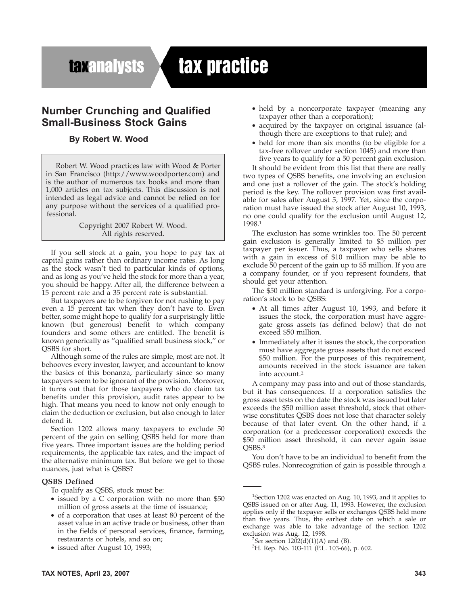## **taxanalysts**

# tax practice

### **Number Crunching and Qualified Small-Business Stock Gains**

#### **By Robert W. Wood**

Robert W. Wood practices law with Wood & Porter in San Francisco (http://www.woodporter.com) and is the author of numerous tax books and more than 1,000 articles on tax subjects. This discussion is not intended as legal advice and cannot be relied on for any purpose without the services of a qualified professional.

> Copyright 2007 Robert W. Wood. All rights reserved.

If you sell stock at a gain, you hope to pay tax at capital gains rather than ordinary income rates. As long as the stock wasn't tied to particular kinds of options, and as long as you've held the stock for more than a year, you should be happy. After all, the difference between a 15 percent rate and a 35 percent rate is substantial.

But taxpayers are to be forgiven for not rushing to pay even a 15 percent tax when they don't have to. Even better, some might hope to qualify for a surprisingly little known (but generous) benefit to which company founders and some others are entitled. The benefit is known generically as ''qualified small business stock,'' or QSBS for short.

Although some of the rules are simple, most are not. It behooves every investor, lawyer, and accountant to know the basics of this bonanza, particularly since so many taxpayers seem to be ignorant of the provision. Moreover, it turns out that for those taxpayers who do claim tax benefits under this provision, audit rates appear to be high. That means you need to know not only enough to claim the deduction or exclusion, but also enough to later defend it.

Section 1202 allows many taxpayers to exclude 50 percent of the gain on selling QSBS held for more than five years. Three important issues are the holding period requirements, the applicable tax rates, and the impact of the alternative minimum tax. But before we get to those nuances, just what is QSBS?

#### **QSBS Defined**

- To qualify as QSBS, stock must be:
- issued by a C corporation with no more than \$50 million of gross assets at the time of issuance;
- of a corporation that uses at least 80 percent of the asset value in an active trade or business, other than in the fields of personal services, finance, farming, restaurants or hotels, and so on;
- issued after August 10, 1993;
- held by a noncorporate taxpayer (meaning any taxpayer other than a corporation);
- acquired by the taxpayer on original issuance (although there are exceptions to that rule); and
- held for more than six months (to be eligible for a tax-free rollover under section 1045) and more than five years to qualify for a 50 percent gain exclusion.

It should be evident from this list that there are really two types of QSBS benefits, one involving an exclusion and one just a rollover of the gain. The stock's holding period is the key. The rollover provision was first available for sales after August 5, 1997. Yet, since the corporation must have issued the stock after August 10, 1993, no one could qualify for the exclusion until August 12, 1998.1

The exclusion has some wrinkles too. The 50 percent gain exclusion is generally limited to \$5 million per taxpayer per issuer. Thus, a taxpayer who sells shares with a gain in excess of \$10 million may be able to exclude 50 percent of the gain up to \$5 million. If you are a company founder, or if you represent founders, that should get your attention.

The \$50 million standard is unforgiving. For a corporation's stock to be QSBS:

- At all times after August 10, 1993, and before it issues the stock, the corporation must have aggregate gross assets (as defined below) that do not exceed \$50 million.
- Immediately after it issues the stock, the corporation must have aggregate gross assets that do not exceed \$50 million. For the purposes of this requirement, amounts received in the stock issuance are taken into account.2

A company may pass into and out of those standards, but it has consequences. If a corporation satisfies the gross asset tests on the date the stock was issued but later exceeds the \$50 million asset threshold, stock that otherwise constitutes QSBS does not lose that character solely because of that later event. On the other hand, if a corporation (or a predecessor corporation) exceeds the \$50 million asset threshold, it can never again issue OSBS.<sup>3</sup>

You don't have to be an individual to benefit from the QSBS rules. Nonrecognition of gain is possible through a

<sup>&</sup>lt;sup>1</sup>Section 1202 was enacted on Aug. 10, 1993, and it applies to QSBS issued on or after Aug. 11, 1993. However, the exclusion applies only if the taxpayer sells or exchanges QSBS held more than five years. Thus, the earliest date on which a sale or exchange was able to take advantage of the section 1202 exclusion was Aug. 12, 1998.

 ${}^{2}$ *See* section 1202(d)(1)(A) and (B).

<sup>&</sup>lt;sup>3</sup>H. Rep. No. 103-111 (P.L. 103-66), p. 602.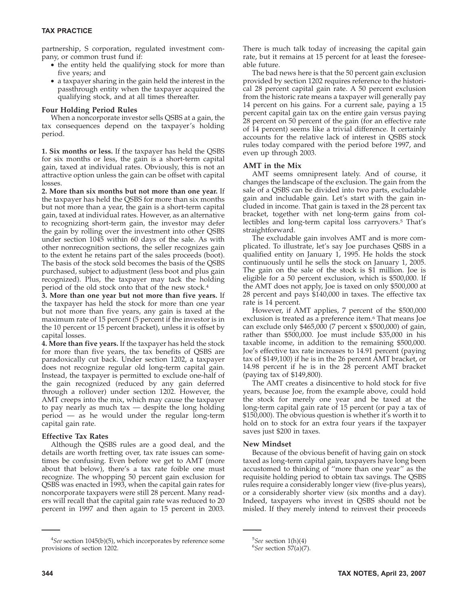partnership, S corporation, regulated investment company, or common trust fund if:

- the entity held the qualifying stock for more than five years; and
- a taxpayer sharing in the gain held the interest in the passthrough entity when the taxpayer acquired the qualifying stock, and at all times thereafter.

#### **Four Holding Period Rules**

When a noncorporate investor sells QSBS at a gain, the tax consequences depend on the taxpayer's holding period.

**1. Six months or less.** If the taxpayer has held the QSBS for six months or less, the gain is a short-term capital gain, taxed at individual rates. Obviously, this is not an attractive option unless the gain can be offset with capital losses.

**2. More than six months but not more than one year.** If the taxpayer has held the QSBS for more than six months but not more than a year, the gain is a short-term capital gain, taxed at individual rates. However, as an alternative to recognizing short-term gain, the investor may defer the gain by rolling over the investment into other QSBS under section 1045 within 60 days of the sale. As with other nonrecognition sections, the seller recognizes gain to the extent he retains part of the sales proceeds (boot). The basis of the stock sold becomes the basis of the QSBS purchased, subject to adjustment (less boot and plus gain recognized). Plus, the taxpayer may tack the holding period of the old stock onto that of the new stock.4

**3. More than one year but not more than five years.** If the taxpayer has held the stock for more than one year but not more than five years, any gain is taxed at the maximum rate of 15 percent (5 percent if the investor is in the 10 percent or 15 percent bracket), unless it is offset by capital losses.

**4. More than five years.** If the taxpayer has held the stock for more than five years, the tax benefits of QSBS are paradoxically cut back. Under section 1202, a taxpayer does not recognize regular old long-term capital gain. Instead, the taxpayer is permitted to exclude one-half of the gain recognized (reduced by any gain deferred through a rollover) under section 1202. However, the AMT creeps into the mix, which may cause the taxpayer to pay nearly as much tax — despite the long holding period — as he would under the regular long-term capital gain rate.

#### **Effective Tax Rates**

Although the QSBS rules are a good deal, and the details are worth fretting over, tax rate issues can sometimes be confusing. Even before we get to AMT (more about that below), there's a tax rate foible one must recognize. The whopping 50 percent gain exclusion for QSBS was enacted in 1993, when the capital gain rates for noncorporate taxpayers were still 28 percent. Many readers will recall that the capital gain rate was reduced to 20 percent in 1997 and then again to 15 percent in 2003.

There is much talk today of increasing the capital gain rate, but it remains at 15 percent for at least the foreseeable future.

The bad news here is that the 50 percent gain exclusion provided by section 1202 requires reference to the historical 28 percent capital gain rate. A 50 percent exclusion from the historic rate means a taxpayer will generally pay 14 percent on his gains. For a current sale, paying a 15 percent capital gain tax on the entire gain versus paying 28 percent on 50 percent of the gain (for an effective rate of 14 percent) seems like a trivial difference. It certainly accounts for the relative lack of interest in QSBS stock rules today compared with the period before 1997, and even up through 2003.

#### **AMT in the Mix**

AMT seems omnipresent lately. And of course, it changes the landscape of the exclusion. The gain from the sale of a QSBS can be divided into two parts, excludable gain and includable gain. Let's start with the gain included in income. That gain is taxed in the 28 percent tax bracket, together with net long-term gains from collectibles and long-term capital loss carryovers.5 That's straightforward.

The excludable gain involves AMT and is more complicated. To illustrate, let's say Joe purchases QSBS in a qualified entity on January 1, 1995. He holds the stock continuously until he sells the stock on January 1, 2005. The gain on the sale of the stock is \$1 million. Joe is eligible for a 50 percent exclusion, which is \$500,000. If the AMT does not apply, Joe is taxed on only \$500,000 at 28 percent and pays \$140,000 in taxes. The effective tax rate is 14 percent.

However, if AMT applies, 7 percent of the \$500,000 exclusion is treated as a preference item.<sup>6</sup> That means Joe can exclude only \$465,000 (7 percent x \$500,000) of gain, rather than \$500,000. Joe must include \$35,000 in his taxable income, in addition to the remaining \$500,000. Joe's effective tax rate increases to 14.91 percent (paying tax of \$149,100) if he is in the 26 percent AMT bracket, or 14.98 percent if he is in the 28 percent AMT bracket (paying tax of \$149,800).

The AMT creates a disincentive to hold stock for five years, because Joe, from the example above, could hold the stock for merely one year and be taxed at the long-term capital gain rate of 15 percent (or pay a tax of \$150,000). The obvious question is whether it's worth it to hold on to stock for an extra four years if the taxpayer saves just \$200 in taxes.

#### **New Mindset**

Because of the obvious benefit of having gain on stock taxed as long-term capital gain, taxpayers have long been accustomed to thinking of ''more than one year'' as the requisite holding period to obtain tax savings. The QSBS rules require a considerably longer view (five-plus years), or a considerably shorter view (six months and a day). Indeed, taxpayers who invest in QSBS should not be misled. If they merely intend to reinvest their proceeds

<sup>4</sup> *See* section 1045(b)(5), which incorporates by reference some provisions of section 1202.

<sup>&</sup>lt;sup>5</sup>See section 1(h)(4)<sup>6</sup>See section 57(a)<sup>(7)</sup>

*See* section 57(a)(7).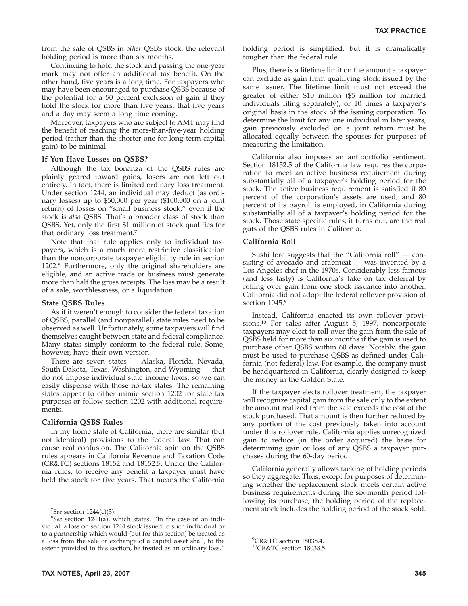from the sale of QSBS in *other* QSBS stock, the relevant holding period is more than six months.

Continuing to hold the stock and passing the one-year mark may not offer an additional tax benefit. On the other hand, five years is a long time. For taxpayers who may have been encouraged to purchase QSBS because of the potential for a 50 percent exclusion of gain if they hold the stock for more than five years, that five years and a day may seem a long time coming.

Moreover, taxpayers who are subject to AMT may find the benefit of reaching the more-than-five-year holding period (rather than the shorter one for long-term capital gain) to be minimal.

#### **If You Have Losses on QSBS?**

Although the tax bonanza of the QSBS rules are plainly geared toward gains, losers are not left out entirely. In fact, there is limited ordinary loss treatment. Under section 1244, an individual may deduct (as ordinary losses) up to \$50,000 per year (\$100,000 on a joint return) of losses on ''small business stock,'' even if the stock is *also* QSBS. That's a broader class of stock than QSBS. Yet, only the first \$1 million of stock qualifies for that ordinary loss treatment.7

Note that that rule applies only to individual taxpayers, which is a much more restrictive classification than the noncorporate taxpayer eligibility rule in section 1202.8 Furthermore, only the original shareholders are eligible, and an active trade or business must generate more than half the gross receipts. The loss may be a result of a sale, worthlessness, or a liquidation.

#### **State QSBS Rules**

As if it weren't enough to consider the federal taxation of QSBS, parallel (and nonparallel) state rules need to be observed as well. Unfortunately, some taxpayers will find themselves caught between state and federal compliance. Many states simply conform to the federal rule. Some, however, have their own version.

There are seven states — Alaska, Florida, Nevada, South Dakota, Texas, Washington, and Wyoming — that do not impose individual state income taxes, so we can easily dispense with those no-tax states. The remaining states appear to either mimic section 1202 for state tax purposes or follow section 1202 with additional requirements.

#### **California QSBS Rules**

In my home state of California, there are similar (but not identical) provisions to the federal law. That can cause real confusion. The California spin on the QSBS rules appears in California Revenue and Taxation Code (CR&TC) sections 18152 and 18152.5. Under the California rules, to receive any benefit a taxpayer must have held the stock for five years. That means the California

holding period is simplified, but it is dramatically tougher than the federal rule.

Plus, there is a lifetime limit on the amount a taxpayer can exclude as gain from qualifying stock issued by the same issuer. The lifetime limit must not exceed the greater of either \$10 million (\$5 million for married individuals filing separately), or 10 times a taxpayer's original basis in the stock of the issuing corporation. To determine the limit for any one individual in later years, gain previously excluded on a joint return must be allocated equally between the spouses for purposes of measuring the limitation.

California also imposes an antiportfolio sentiment. Section 18152.5 of the California law requires the corporation to meet an active business requirement during substantially all of a taxpayer's holding period for the stock. The active business requirement is satisfied if 80 percent of the corporation's assets are used, and 80 percent of its payroll is employed, in California during substantially all of a taxpayer's holding period for the stock. Those state-specific rules, it turns out, are the real guts of the QSBS rules in California.

#### **California Roll**

Sushi lore suggests that the "California roll" - consisting of avocado and crabmeat — was invented by a Los Angeles chef in the 1970s. Considerably less famous (and less tasty) is California's take on tax deferral by rolling over gain from one stock issuance into another. California did not adopt the federal rollover provision of section 1045.9

Instead, California enacted its own rollover provisions.10 For sales after August 5, 1997, noncorporate taxpayers may elect to roll over the gain from the sale of QSBS held for more than six months if the gain is used to purchase other QSBS within 60 days. Notably, the gain must be used to purchase QSBS as defined under California (not federal) law. For example, the company must be headquartered in California, clearly designed to keep the money in the Golden State.

If the taxpayer elects rollover treatment, the taxpayer will recognize capital gain from the sale only to the extent the amount realized from the sale exceeds the cost of the stock purchased. That amount is then further reduced by any portion of the cost previously taken into account under this rollover rule. California applies unrecognized gain to reduce (in the order acquired) the basis for determining gain or loss of any QSBS a taxpayer purchases during the 60-day period.

California generally allows tacking of holding periods so they aggregate. Thus, except for purposes of determining whether the replacement stock meets certain active business requirements during the six-month period following its purchase, the holding period of the replace-<sup>7</sup> See section 1244(c)(3). **See section** 1244(c)(3).

*See* section 1244(a), which states, ''In the case of an individual, a loss on section 1244 stock issued to such individual or to a partnership which would (but for this section) be treated as a loss from the sale or exchange of a capital asset shall, to the extent provided in this section, be treated as an ordinary loss.''

<sup>9</sup> CR&TC section 18038.4.

<sup>10</sup>CR&TC section 18038.5.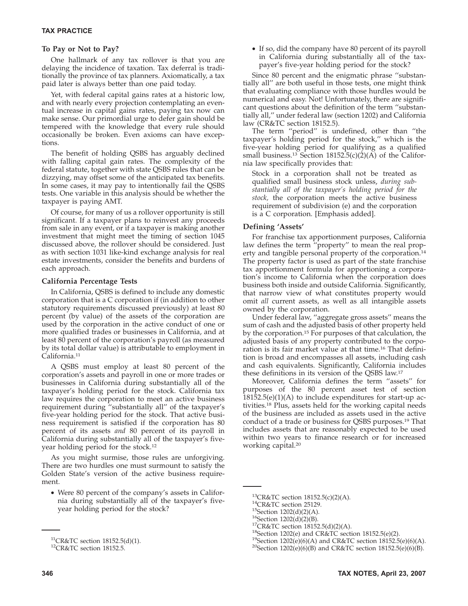#### **To Pay or Not to Pay?**

One hallmark of any tax rollover is that you are delaying the incidence of taxation. Tax deferral is traditionally the province of tax planners. Axiomatically, a tax paid later is always better than one paid today.

Yet, with federal capital gains rates at a historic low, and with nearly every projection contemplating an eventual increase in capital gains rates, paying tax now can make sense. Our primordial urge to defer gain should be tempered with the knowledge that every rule should occasionally be broken. Even axioms can have exceptions.

The benefit of holding QSBS has arguably declined with falling capital gain rates. The complexity of the federal statute, together with state QSBS rules that can be dizzying, may offset some of the anticipated tax benefits. In some cases, it may pay to intentionally fail the QSBS tests. One variable in this analysis should be whether the taxpayer is paying AMT.

Of course, for many of us a rollover opportunity is still significant. If a taxpayer plans to reinvest any proceeds from sale in any event, or if a taxpayer is making another investment that might meet the timing of section 1045 discussed above, the rollover should be considered. Just as with section 1031 like-kind exchange analysis for real estate investments, consider the benefits and burdens of each approach.

#### **California Percentage Tests**

In California, QSBS is defined to include any domestic corporation that is a C corporation if (in addition to other statutory requirements discussed previously) at least 80 percent (by value) of the assets of the corporation are used by the corporation in the active conduct of one or more qualified trades or businesses in California, and at least 80 percent of the corporation's payroll (as measured by its total dollar value) is attributable to employment in California.11

A QSBS must employ at least 80 percent of the corporation's assets and payroll in one or more trades or businesses in California during substantially all of the taxpayer's holding period for the stock. California tax law requires the corporation to meet an active business requirement during ''substantially all'' of the taxpayer's five-year holding period for the stock. That active business requirement is satisfied if the corporation has 80 percent of its assets *and* 80 percent of its payroll in California during substantially all of the taxpayer's fiveyear holding period for the stock.12

As you might surmise, those rules are unforgiving. There are two hurdles one must surmount to satisfy the Golden State's version of the active business requirement.

• Were 80 percent of the company's assets in California during substantially all of the taxpayer's fiveyear holding period for the stock?

• If so, did the company have 80 percent of its payroll in California during substantially all of the taxpayer's five-year holding period for the stock?

Since 80 percent and the enigmatic phrase ''substantially all'' are both useful in those tests, one might think that evaluating compliance with those hurdles would be numerical and easy. Not! Unfortunately, there are significant questions about the definition of the term ''substantially all,'' under federal law (section 1202) and California law (CR&TC section 18152.5).

The term ''period'' is undefined, other than ''the taxpayer's holding period for the stock,'' which is the five-year holding period for qualifying as a qualified small business.<sup>13</sup> Section 18152.5(c)(2)(A) of the California law specifically provides that:

Stock in a corporation shall not be treated as qualified small business stock unless, *during substantially all of the taxpayer's holding period for the stock,* the corporation meets the active business requirement of subdivision (e) and the corporation is a C corporation. [Emphasis added].

#### **Defining 'Assets'**

For franchise tax apportionment purposes, California law defines the term ''property'' to mean the real property and tangible personal property of the corporation.14 The property factor is used as part of the state franchise tax apportionment formula for apportioning a corporation's income to California when the corporation does business both inside and outside California. Significantly, that narrow view of what constitutes property would omit *all* current assets, as well as all intangible assets owned by the corporation.

Under federal law, ''aggregate gross assets'' means the sum of cash and the adjusted basis of other property held by the corporation.15 For purposes of that calculation, the adjusted basis of any property contributed to the corporation is its fair market value at that time.16 That definition is broad and encompasses all assets, including cash and cash equivalents. Significantly, California includes these definitions in its version of the QSBS law.17

Moreover, California defines the term ''assets'' for purposes of the 80 percent asset test of section  $18152.5(e)(1)(A)$  to include expenditures for start-up activities.18 Plus, assets held for the working capital needs of the business are included as assets used in the active conduct of a trade or business for QSBS purposes.19 That includes assets that are reasonably expected to be used within two years to finance research or for increased working capital.20

<sup>&</sup>lt;sup>11</sup>CR&TC section 18152.5(d)(1).<br><sup>12</sup>CR&TC section 18152.5.

<sup>&</sup>lt;sup>13</sup>CR&TC section 18152.5(c)(2)(A).<br><sup>14</sup>CR&TC section 25129.<br><sup>15</sup>Section 1202(d)(2)(A).<br><sup>16</sup>Section 1202(d)(2)(B).<br><sup>17</sup>CR&TC section 18152.5(d)(2)(A).<br><sup>18</sup>Section 1202(e) and CR&TC section 18152.5(e)(2).<br><sup>19</sup>Section 1202(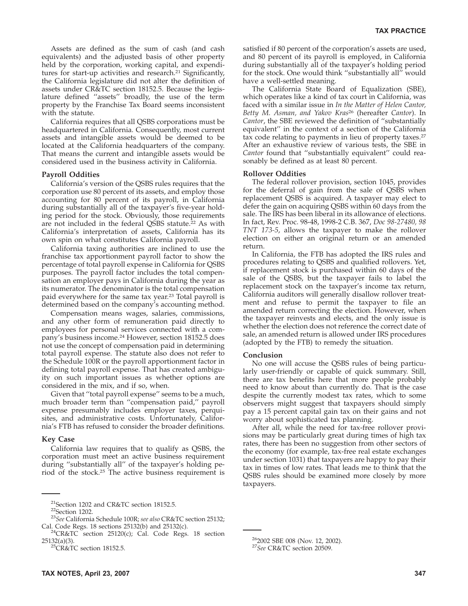Assets are defined as the sum of cash (and cash equivalents) and the adjusted basis of other property held by the corporation, working capital, and expenditures for start-up activities and research.<sup>21</sup> Significantly, the California legislature did not alter the definition of assets under CR&TC section 18152.5. Because the legislature defined ''assets'' broadly, the use of the term property by the Franchise Tax Board seems inconsistent with the statute.

California requires that all QSBS corporations must be headquartered in California. Consequently, most current assets and intangible assets would be deemed to be located at the California headquarters of the company. That means the current and intangible assets would be considered used in the business activity in California.

#### **Payroll Oddities**

California's version of the QSBS rules requires that the corporation use 80 percent of its assets, and employ those accounting for 80 percent of its payroll, in California during substantially all of the taxpayer's five-year holding period for the stock. Obviously, those requirements are not included in the federal QSBS statute.<sup>22</sup> As with California's interpretation of assets, California has its own spin on what constitutes California payroll.

California taxing authorities are inclined to use the franchise tax apportionment payroll factor to show the percentage of total payroll expense in California for QSBS purposes. The payroll factor includes the total compensation an employer pays in California during the year as its numerator. The denominator is the total compensation paid everywhere for the same tax year.23 Total payroll is determined based on the company's accounting method.

Compensation means wages, salaries, commissions, and any other form of remuneration paid directly to employees for personal services connected with a company's business income.24 However, section 18152.5 does not use the concept of compensation paid in determining total payroll expense. The statute also does not refer to the Schedule 100R or the payroll apportionment factor in defining total payroll expense. That has created ambiguity on such important issues as whether options are considered in the mix, and if so, when.

Given that ''total payroll expense'' seems to be a much, much broader term than ''compensation paid,'' payroll expense presumably includes employer taxes, perquisites, and administrative costs. Unfortunately, California's FTB has refused to consider the broader definitions.

#### **Key Case**

California law requires that to qualify as QSBS, the corporation must meet an active business requirement during ''substantially all'' of the taxpayer's holding period of the stock.25 The active business requirement is satisfied if 80 percent of the corporation's assets are used, and 80 percent of its payroll is employed, in California during substantially all of the taxpayer's holding period for the stock. One would think ''substantially all'' would have a well-settled meaning.

The California State Board of Equalization (SBE), which operates like a kind of tax court in California, was faced with a similar issue in *In the Matter of Helen Cantor, Betty M. Asman, and Yakov Kras*<sup>26</sup> (hereafter *Cantor*). In *Cantor*, the SBE reviewed the definition of ''substantially equivalent'' in the context of a section of the California tax code relating to payments in lieu of property taxes.<sup>27</sup> After an exhaustive review of various tests, the SBE in *Cantor* found that ''substantially equivalent'' could reasonably be defined as at least 80 percent.

#### **Rollover Oddities**

The federal rollover provision, section 1045, provides for the deferral of gain from the sale of QSBS when replacement QSBS is acquired. A taxpayer may elect to defer the gain on acquiring QSBS within 60 days from the sale. The IRS has been liberal in its allowance of elections. In fact, Rev. Proc. 98-48, 1998-2 C.B. 367, *Doc 98-27480, 98 TNT 173-5*, allows the taxpayer to make the rollover election on either an original return or an amended return.

In California, the FTB has adopted the IRS rules and procedures relating to QSBS and qualified rollovers. Yet, if replacement stock is purchased within 60 days of the sale of the QSBS, but the taxpayer fails to label the replacement stock on the taxpayer's income tax return, California auditors will generally disallow rollover treatment and refuse to permit the taxpayer to file an amended return correcting the election. However, when the taxpayer reinvests and elects, and the only issue is whether the election does not reference the correct date of sale, an amended return is allowed under IRS procedures (adopted by the FTB) to remedy the situation.

#### **Conclusion**

No one will accuse the QSBS rules of being particularly user-friendly or capable of quick summary. Still, there are tax benefits here that more people probably need to know about than currently do. That is the case despite the currently modest tax rates, which to some observers might suggest that taxpayers should simply pay a 15 percent capital gain tax on their gains and not worry about sophisticated tax planning.

After all, while the need for tax-free rollover provisions may be particularly great during times of high tax rates, there has been no suggestion from other sectors of the economy (for example, tax-free real estate exchanges under section 1031) that taxpayers are happy to pay their tax in times of low rates. That leads me to think that the QSBS rules should be examined more closely by more taxpayers.

262002 SBE 008 (Nov. 12, 2002). <sup>27</sup>*See* CR&TC section 20509.

<sup>21</sup>Section 1202 and CR&TC section 18152.5. 22Section 1202. <sup>23</sup>*See* California Schedule 100R; *see also* CR&TC section 25132;

Cal. Code Regs. 18 sections 25132(b) and 25132(c).<br><sup>24</sup>CR&TC section 25120(c); Cal. Code Regs. 18 section 25132(a)(3).<br><sup>25</sup>CR&TC section 18152.5.